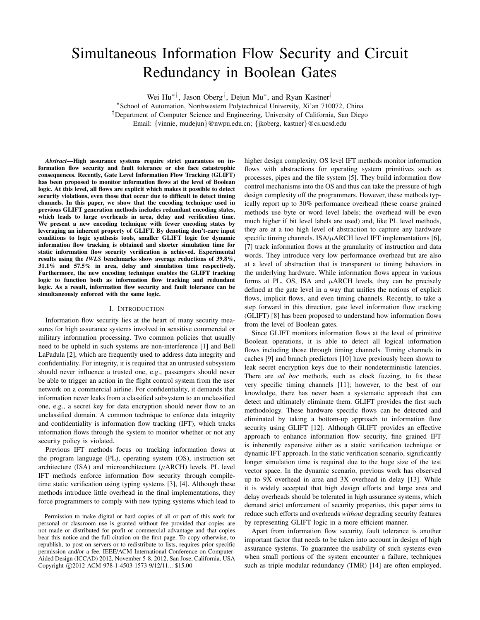# Simultaneous Information Flow Security and Circuit Redundancy in Boolean Gates

Wei Hu<sup>\*†</sup>, Jason Oberg<sup>†</sup>, Dejun Mu<sup>\*</sup>, and Ryan Kastner<sup>†</sup>

⇤School of Automation, Northwestern Polytechnical University, Xi'an 710072, China *†*Department of Computer Science and Engineering, University of California, San Diego

Email: *{*vinnie, mudejun*}*@nwpu.edu.cn; *{*jkoberg, kastner*}*@cs.ucsd.edu

*Abstract*—High assurance systems require strict guarantees on information flow security and fault tolerance or else face catastrophic consequences. Recently, Gate Level Information Flow Tracking (GLIFT) has been proposed to monitor information flows at the level of Boolean logic. At this level, all flows are explicit which makes it possible to detect security violations, even those that occur due to difficult to detect timing channels. In this paper, we show that the encoding technique used in previous GLIFT generation methods includes redundant encoding states, which leads to large overheads in area, delay and verification time. We present a new encoding technique with fewer encoding states by leveraging an inherent property of GLIFT. By denoting don't-care input conditions to logic synthesis tools, smaller GLIFT logic for dynamic information flow tracking is obtained and shorter simulation time for static information flow security verification is achieved. Experimental results using the *IWLS* benchmarks show average reductions of 39.8%, 31.1% and 57.5% in area, delay and simulation time respectively. Furthermore, the new encoding technique enables the GLIFT tracking logic to function both as information flow tracking and redundant logic. As a result, information flow security and fault tolerance can be simultaneously enforced with the same logic.

#### I. INTRODUCTION

Information flow security lies at the heart of many security measures for high assurance systems involved in sensitive commercial or military information processing. Two common policies that usually need to be upheld in such systems are non-interference [1] and Bell LaPadula [2], which are frequently used to address data integrity and confidentiality. For integrity, it is required that an untrusted subsystem should never influence a trusted one, e.g., passengers should never be able to trigger an action in the flight control system from the user network on a commercial airline. For confidentiality, it demands that information never leaks from a classified subsystem to an unclassified one, e.g., a secret key for data encryption should never flow to an unclassified domain. A common technique to enforce data integrity and confidentiality is information flow tracking (IFT), which tracks information flows through the system to monitor whether or not any security policy is violated.

Previous IFT methods focus on tracking information flows at the program language (PL), operating system (OS), instruction set architecture (ISA) and microarchitecture (*µ*ARCH) levels. PL level IFT methods enforce information flow security through compiletime static verification using typing systems [3], [4]. Although these methods introduce little overhead in the final implementations, they force programmers to comply with new typing systems which lead to higher design complexity. OS level IFT methods monitor information flows with abstractions for operating system primitives such as processes, pipes and the file system [5]. They build information flow control mechanisms into the OS and thus can take the pressure of high design complexity off the programmers. However, these methods typically report up to 30% performance overhead (these coarse grained methods use byte or word level labels; the overhead will be even much higher if bit level labels are used) and, like PL level methods, they are at a too high level of abstraction to capture any hardware specific timing channels. ISA/ $\mu$ ARCH level IFT implementations [6], [7] track information flows at the granularity of instruction and data words. They introduce very low performance overhead but are also at a level of abstraction that is transparent to timing behaviors in the underlying hardware. While information flows appear in various forms at PL, OS, ISA and  $\mu$ ARCH levels, they can be precisely defined at the gate level in a way that unifies the notions of explicit flows, implicit flows, and even timing channels. Recently, to take a step forward in this direction, gate level information flow tracking (GLIFT) [8] has been proposed to understand how information flows from the level of Boolean gates.

Since GLIFT monitors information flows at the level of primitive Boolean operations, it is able to detect all logical information flows including those through timing channels. Timing channels in caches [9] and branch predictors [10] have previously been shown to leak secret encryption keys due to their nondeterministic latencies. There are *ad hoc* methods, such as clock fuzzing, to fix these very specific timing channels [11]; however, to the best of our knowledge, there has never been a systematic approach that can detect and ultimately eliminate them. GLIFT provides the first such methodology. These hardware specific flows can be detected and eliminated by taking a bottom-up approach to information flow security using GLIFT [12]. Although GLIFT provides an effective approach to enhance information flow security, fine grained IFT is inherently expensive either as a static verification technique or dynamic IFT approach. In the static verification scenario, significantly longer simulation time is required due to the huge size of the test vector space. In the dynamic scenario, previous work has observed up to 9X overhead in area and 3X overhead in delay [13]. While it is widely accepted that high design efforts and large area and delay overheads should be tolerated in high assurance systems, which demand strict enforcement of security properties, this paper aims to reduce such efforts and overheads *without* degrading security features by representing GLIFT logic in a more efficient manner.

Apart from information flow security, fault tolerance is another important factor that needs to be taken into account in design of high assurance systems. To guarantee the usability of such systems even when small portions of the system encounter a failure, techniques such as triple modular redundancy (TMR) [14] are often employed.

Permission to make digital or hard copies of all or part of this work for personal or classroom use is granted without fee provided that copies are not made or distributed for profit or commercial advantage and that copies bear this notice and the full citation on the first page. To copy otherwise, to republish, to post on servers or to redistribute to lists, requires prior specific permission and/or a fee. IEEE/ACM International Conference on Computer-Aided Design (ICCAD) 2012, November 5-8, 2012, San Jose, California, USA Copyright @ 2012 ACM 978-1-4503-1573-9/12/11... \$15.00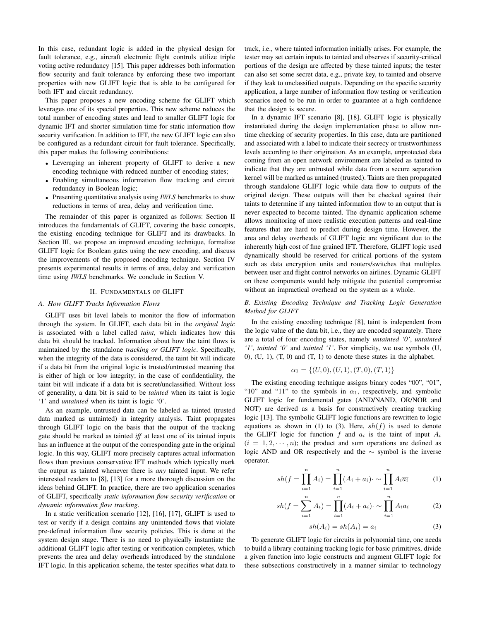In this case, redundant logic is added in the physical design for fault tolerance, e.g., aircraft electronic flight controls utilize triple voting active redundancy [15]. This paper addresses both information flow security and fault tolerance by enforcing these two important properties with new GLIFT logic that is able to be configured for both IFT and circuit redundancy.

This paper proposes a new encoding scheme for GLIFT which leverages one of its special properties. This new scheme reduces the total number of encoding states and lead to smaller GLIFT logic for dynamic IFT and shorter simulation time for static information flow security verification. In addition to IFT, the new GLIFT logic can also be configured as a redundant circuit for fault tolerance. Specifically, this paper makes the following contributions:

- *•* Leveraging an inherent property of GLIFT to derive a new encoding technique with reduced number of encoding states;
- *•* Enabling simultaneous information flow tracking and circuit redundancy in Boolean logic;
- *•* Presenting quantitative analysis using *IWLS* benchmarks to show reductions in terms of area, delay and verification time.

The remainder of this paper is organized as follows: Section II introduces the fundamentals of GLIFT, covering the basic concepts, the existing encoding technique for GLIFT and its drawbacks. In Section III, we propose an improved encoding technique, formalize GLIFT logic for Boolean gates using the new encoding, and discuss the improvements of the proposed encoding technique. Section IV presents experimental results in terms of area, delay and verification time using *IWLS* benchmarks. We conclude in Section V.

# II. FUNDAMENTALS OF GLIFT

#### *A. How GLIFT Tracks Information Flows*

GLIFT uses bit level labels to monitor the flow of information through the system. In GLIFT, each data bit in the *original logic* is associated with a label called *taint*, which indicates how this data bit should be tracked. Information about how the taint flows is maintained by the standalone *tracking or GLIFT logic*. Specifically, when the integrity of the data is considered, the taint bit will indicate if a data bit from the original logic is trusted/untrusted meaning that is either of high or low integrity; in the case of confidentiality, the taint bit will indicate if a data bit is secret/unclassified. Without loss of generality, a data bit is said to be *tainted* when its taint is logic '1' and *untainted* when its taint is logic '0'.

As an example, untrusted data can be labeled as tainted (trusted data marked as untainted) in integrity analysis. Taint propagates through GLIFT logic on the basis that the output of the tracking gate should be marked as tainted *iff* at least one of its tainted inputs has an influence at the output of the corresponding gate in the original logic. In this way, GLIFT more precisely captures actual information flows than previous conservative IFT methods which typically mark the output as tainted whenever there is *any* tainted input. We refer interested readers to [8], [13] for a more thorough discussion on the ideas behind GLIFT. In practice, there are two application scenarios of GLIFT, specifically *static information flow security verification* or *dynamic information flow tracking*.

In a static verification scenario [12], [16], [17], GLIFT is used to test or verify if a design contains any unintended flows that violate pre-defined information flow security policies. This is done at the system design stage. There is no need to physically instantiate the additional GLIFT logic after testing or verification completes, which prevents the area and delay overheads introduced by the standalone IFT logic. In this application scheme, the tester specifies what data to

track, i.e., where tainted information initially arises. For example, the tester may set certain inputs to tainted and observes if security-critical portions of the design are affected by these tainted inputs; the tester can also set some secret data, e.g., private key, to tainted and observe if they leak to unclassified outputs. Depending on the specific security application, a large number of information flow testing or verification scenarios need to be run in order to guarantee at a high confidence that the design is secure.

In a dynamic IFT scenario [8], [18], GLIFT logic is physically instantiated during the design implementation phase to allow runtime checking of security properties. In this case, data are partitioned and associated with a label to indicate their secrecy or trustworthiness levels according to their origination. As an example, unprotected data coming from an open network environment are labeled as tainted to indicate that they are untrusted while data from a secure separation kernel will be marked as untained (trusted). Taints are then propagated through standalone GLIFT logic while data flow to outputs of the original design. These outputs will then be checked against their taints to determine if any tainted information flow to an output that is never expected to become tainted. The dynamic application scheme allows monitoring of more realistic execution patterns and real-time features that are hard to predict during design time. However, the area and delay overheads of GLIFT logic are significant due to the inherently high cost of fine grained IFT. Therefore, GLIFT logic used dynamically should be reserved for critical portions of the system such as data encryption units and routers/switches that multiplex between user and flight control networks on airlines. Dynamic GLIFT on these components would help mitigate the potential compromise without an impractical overhead on the system as a whole.

# *B. Existing Encoding Technique and Tracking Logic Generation Method for GLIFT*

In the existing encoding technique [8], taint is independent from the logic value of the data bit, i.e., they are encoded separately. There are a total of four encoding states, namely *untainted '0'*, *untainted '1'*, *tainted '0'* and *tainted '1'*. For simplicity, we use symbols (U, 0),  $(U, 1)$ ,  $(T, 0)$  and  $(T, 1)$  to denote these states in the alphabet.

$$
\alpha_1 = \{ (U, 0), (U, 1), (T, 0), (T, 1) \}
$$

The existing encoding technique assigns binary codes "00", "01", "10" and "11" to the symbols in  $\alpha_1$ , respectively, and symbolic GLIFT logic for fundamental gates (AND/NAND, OR/NOR and NOT) are derived as a basis for constructively creating tracking logic [13]. The symbolic GLIFT logic functions are rewritten to logic equations as shown in (1) to (3). Here,  $sh(f)$  is used to denote the GLIFT logic for function  $f$  and  $a_i$  is the taint of input  $A_i$  $(i = 1, 2, \dots, n)$ ; the product and sum operations are defined as logic AND and OR respectively and the  $\sim$  symbol is the inverse operator.

$$
sh(f = \prod_{i=1}^{n} A_i) = \prod_{i=1}^{n} (A_i + a_i) \sim \prod_{i=1}^{n} A_i \overline{a_i}
$$
 (1)

$$
sh(f = \sum_{i=1}^{n} A_i) = \prod_{i=1}^{n} (\overline{A_i} + a_i) \sim \prod_{i=1}^{n} \overline{A_i} \overline{a_i}
$$
 (2)

$$
sh(\overline{A_i}) = sh(A_i) = a_i \tag{3}
$$

To generate GLIFT logic for circuits in polynomial time, one needs to build a library containing tracking logic for basic primitives, divide a given function into logic constructs and augment GLIFT logic for these subsections constructively in a manner similar to technology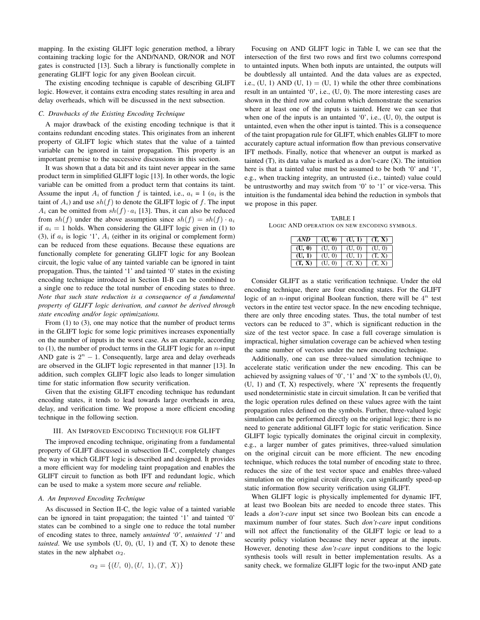mapping. In the existing GLIFT logic generation method, a library containing tracking logic for the AND/NAND, OR/NOR and NOT gates is constructed [13]. Such a library is functionally complete in generating GLIFT logic for any given Boolean circuit.

The existing encoding technique is capable of describing GLIFT logic. However, it contains extra encoding states resulting in area and delay overheads, which will be discussed in the next subsection.

## *C. Drawbacks of the Existing Encoding Technique*

A major drawback of the existing encoding technique is that it contains redundant encoding states. This originates from an inherent property of GLIFT logic which states that the value of a tainted variable can be ignored in taint propagation. This property is an important premise to the successive discussions in this section.

It was shown that a data bit and its taint never appear in the same product term in simplified GLIFT logic [13]. In other words, the logic variable can be omitted from a product term that contains its taint. Assume the input  $A_i$  of function  $f$  is tainted, i.e.,  $a_i = 1$  ( $a_i$  is the taint of  $A_i$ ) and use  $sh(f)$  to denote the GLIFT logic of f. The input *A*<sup>*i*</sup> can be omitted from  $sh(f) \cdot a_i$  [13]. Thus, it can also be reduced from  $sh(f)$  under the above assumption since  $sh(f) = sh(f) \cdot a_i$ if  $a_i = 1$  holds. When considering the GLIFT logic given in (1) to (3), if  $a_i$  is logic '1',  $A_i$  (either in its original or complement form) can be reduced from these equations. Because these equations are functionally complete for generating GLIFT logic for any Boolean circuit, the logic value of any tainted variable can be ignored in taint propagation. Thus, the tainted '1' and tainted '0' states in the existing encoding technique introduced in Section II-B can be combined to a single one to reduce the total number of encoding states to three. *Note that such state reduction is a consequence of a fundamental property of GLIFT logic derivation, and cannot be derived through state encoding and/or logic optimizations.*

From (1) to (3), one may notice that the number of product terms in the GLIFT logic for some logic primitives increases exponentially on the number of inputs in the worst case. As an example, according to (1), the number of product terms in the GLIFT logic for an *n*-input AND gate is  $2^n - 1$ . Consequently, large area and delay overheads are observed in the GLIFT logic represented in that manner [13]. In addition, such complex GLIFT logic also leads to longer simulation time for static information flow security verification.

Given that the existing GLIFT encoding technique has redundant encoding states, it tends to lead towards large overheads in area, delay, and verification time. We propose a more efficient encoding technique in the following section.

#### III. AN IMPROVED ENCODING TECHNIQUE FOR GLIFT

The improved encoding technique, originating from a fundamental property of GLIFT discussed in subsection II-C, completely changes the way in which GLIFT logic is described and designed. It provides a more efficient way for modeling taint propagation and enables the GLIFT circuit to function as both IFT and redundant logic, which can be used to make a system more secure *and* reliable.

# *A. An Improved Encoding Technique*

As discussed in Section II-C, the logic value of a tainted variable can be ignored in taint propagation; the tainted '1' and tainted '0' states can be combined to a single one to reduce the total number of encoding states to three, namely *untainted '0'*, *untainted '1'* and *tainted*. We use symbols  $(U, 0)$ ,  $(U, 1)$  and  $(T, X)$  to denote these states in the new alphabet  $\alpha_2$ .

$$
\alpha_2 = \{(U, 0), (U, 1), (T, X)\}
$$

Focusing on AND GLIFT logic in Table I, we can see that the intersection of the first two rows and first two columns correspond to untainted inputs. When both inputs are untainted, the outputs will be doubtlessly all untainted. And the data values are as expected, i.e.,  $(U, 1)$  AND  $(U, 1) = (U, 1)$  while the other three combinations result in an untainted '0', i.e., (U, 0). The more interesting cases are shown in the third row and column which demonstrate the scenarios where at least one of the inputs is tainted. Here we can see that when one of the inputs is an untainted  $'0'$ , i.e.,  $(U, 0)$ , the output is untainted, even when the other input is tainted. This is a consequence of the taint propagation rule for GLIFT, which enables GLIFT to more accurately capture actual information flow than previous conservative IFT methods. Finally, notice that whenever an output is marked as tainted  $(T)$ , its data value is marked as a don't-care  $(X)$ . The intuition here is that a tainted value must be assumed to be both '0' and '1', e.g., when tracking integrity, an untrusted (i.e., tainted) value could be untrustworthy and may switch from '0' to '1' or vice-versa. This intuition is the fundamental idea behind the reduction in symbols that we propose in this paper.

TABLE I LOGIC AND OPERATION ON NEW ENCODING SYMBOLS.

| AND    | (U, 0) | (U, 1) | (T, X) |
|--------|--------|--------|--------|
| (U, 0) | (U, 0) | (U, 0) | (U, 0) |
| (U, 1) | (U, 0) | (U, 1) | (T, X) |
| (T, X) | (U, 0) | (T, X) | (T, X) |

Consider GLIFT as a static verification technique. Under the old encoding technique, there are four encoding states. For the GLIFT logic of an *n*-input original Boolean function, there will be 4*<sup>n</sup>* test vectors in the entire test vector space. In the new encoding technique, there are only three encoding states. Thus, the total number of test vectors can be reduced to  $3<sup>n</sup>$ , which is significant reduction in the size of the test vector space. In case a full coverage simulation is impractical, higher simulation coverage can be achieved when testing the same number of vectors under the new encoding technique.

Additionally, one can use three-valued simulation technique to accelerate static verification under the new encoding. This can be achieved by assigning values of '0', '1' and 'X' to the symbols  $(U, 0)$ , (U, 1) and (T, X) respectively, where 'X' represents the frequently used nondeterministic state in circuit simulation. It can be verified that the logic operation rules defined on these values agree with the taint propagation rules defined on the symbols. Further, three-valued logic simulation can be performed directly on the original logic; there is no need to generate additional GLIFT logic for static verification. Since GLIFT logic typically dominates the original circuit in complexity, e.g., a larger number of gates primitives, three-valued simulation on the original circuit can be more efficient. The new encoding technique, which reduces the total number of encoding state to three, reduces the size of the test vector space and enables three-valued simulation on the original circuit directly, can significantly speed-up static information flow security verification using GLIFT.

When GLIFT logic is physically implemented for dynamic IFT, at least two Boolean bits are needed to encode three states. This leads a *don't-care* input set since two Boolean bits can encode a maximum number of four states. Such *don't-care* input conditions will not affect the functionality of the GLIFT logic or lead to a security policy violation because they never appear at the inputs. However, denoting these *don't-care* input conditions to the logic synthesis tools will result in better implementation results. As a sanity check, we formalize GLIFT logic for the two-input AND gate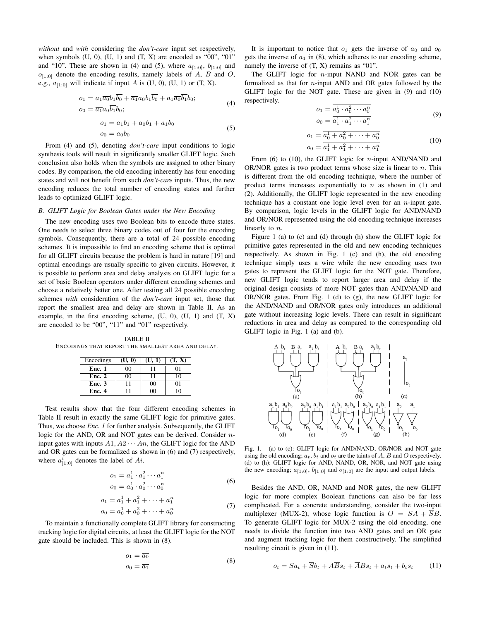*without* and *with* considering the *don't-care* input set respectively, when symbols  $(U, 0)$ ,  $(U, 1)$  and  $(T, X)$  are encoded as "00", "01" and "10". These are shown in (4) and (5), where  $a_{[1:0]}$ ,  $b_{[1:0]}$  and *o*[1:0] denote the encoding results, namely labels of *A*, *B* and *O*, e.g.,  $a_{[1:0]}$  will indicate if input *A* is (U, 0), (U, 1) or (T, X).

$$
o_1 = a_1 \overline{a_0} b_1 \overline{b_0} + \overline{a_1} a_0 b_1 \overline{b_0} + a_1 \overline{a_0} \overline{b_1} b_0;
$$
  
\n
$$
o_0 = \overline{a_1} a_0 \overline{b_1} b_0;
$$
\n(4)

$$
o_1 = a_1b_1 + a_0b_1 + a_1b_0
$$
  
\n
$$
o_0 = a_0b_0
$$
\n(5)

From (4) and (5), denoting *don't-care* input conditions to logic synthesis tools will result in significantly smaller GLIFT logic. Such conclusion also holds when the symbols are assigned to other binary codes. By comparison, the old encoding inherently has four encoding states and will not benefit from such *don't-care* inputs. Thus, the new encoding reduces the total number of encoding states and further leads to optimized GLIFT logic.

## *B. GLIFT Logic for Boolean Gates under the New Encoding*

The new encoding uses two Boolean bits to encode three states. One needs to select three binary codes out of four for the encoding symbols. Consequently, there are a total of 24 possible encoding schemes. It is impossible to find an encoding scheme that is optimal for all GLIFT circuits because the problem is hard in nature [19] and optimal encodings are usually specific to given circuits. However, it is possible to perform area and delay analysis on GLIFT logic for a set of basic Boolean operators under different encoding schemes and choose a relatively better one. After testing all 24 possible encoding schemes *with* consideration of the *don't-care* input set, those that report the smallest area and delay are shown in Table II. As an example, in the first encoding scheme,  $(U, 0)$ ,  $(U, 1)$  and  $(T, X)$ are encoded to be "00", "11" and "01" respectively.

TABLE II ENCODINGS THAT REPORT THE SMALLEST AREA AND DELAY.

| Encodings | (U, 0) | (U, 1) | (T, X) |
|-----------|--------|--------|--------|
| Enc. 1    | 'N)    |        |        |
| Enc. 2    | DO)    |        |        |
| Enc. 3    |        | 00     |        |
| Enc. 4    |        |        |        |

Test results show that the four different encoding schemes in Table II result in exactly the same GLIFT logic for primitive gates. Thus, we choose *Enc. 1* for further analysis. Subsequently, the GLIFT logic for the AND, OR and NOT gates can be derived. Consider *n*input gates with inputs  $A1, A2 \cdots An$ , the GLIFT logic for the AND and OR gates can be formalized as shown in (6) and (7) respectively, where  $a^i_{[1:0]}$  denotes the label of *Ai*.

$$
o_1 = a_1^1 \cdot a_1^2 \cdots a_1^n
$$
  
\n
$$
o_0 = a_0^1 \cdot a_0^2 \cdots a_0^n
$$
\n(6)

$$
o_1 = a_1^1 + a_1^2 + \dots + a_1^n
$$
  
\n
$$
o_0 = a_0^1 + a_0^2 + \dots + a_0^n
$$
\n(7)

To maintain a functionally complete GLIFT library for constructing tracking logic for digital circuits, at least the GLIFT logic for the NOT gate should be included. This is shown in (8).

$$
o_1 = \overline{a_0} o_0 = \overline{a_1}
$$
 (8)

It is important to notice that  $o_1$  gets the inverse of  $a_0$  and  $o_0$ gets the inverse of  $a_1$  in (8), which adheres to our encoding scheme, namely the inverse of (T, X) remains as "01".

The GLIFT logic for *n*-input NAND and NOR gates can be formalized as that for *n*-input AND and OR gates followed by the GLIFT logic for the NOT gate. These are given in (9) and (10) respectively.

$$
o_1 = a_0^1 \cdot a_0^2 \cdots a_0^n
$$
  
\n
$$
o_0 = a_1^1 \cdot a_1^2 \cdots a_1^n
$$
\n(9)

$$
o_1 = \overline{a_0^1 + a_0^2 + \dots + a_0^n}
$$
  
\n
$$
o_0 = \overline{a_1^1 + a_1^2 + \dots + a_1^n}
$$
\n(10)

From (6) to (10), the GLIFT logic for *n*-input AND/NAND and OR/NOR gates is two product terms whose size is linear to *n*. This is different from the old encoding technique, where the number of product terms increases exponentially to *n* as shown in (1) and (2). Additionally, the GLIFT logic represented in the new encoding technique has a constant one logic level even for an *n*-input gate. By comparison, logic levels in the GLIFT logic for AND/NAND and OR/NOR represented using the old encoding technique increases linearly to *n*.

Figure 1 (a) to (c) and (d) through (h) show the GLIFT logic for primitive gates represented in the old and new encoding techniques respectively. As shown in Fig. 1 (c) and (h), the old encoding technique simply uses a wire while the new encoding uses two gates to represent the GLIFT logic for the NOT gate. Therefore, new GLIFT logic tends to report larger area and delay if the original design consists of more NOT gates than AND/NAND and OR/NOR gates. From Fig. 1 (d) to (g), the new GLIFT logic for the AND/NAND and OR/NOR gates only introduces an additional gate without increasing logic levels. There can result in significant reductions in area and delay as compared to the corresponding old GLIFT logic in Fig. 1 (a) and (b).



Fig. 1. (a) to (c): GLIFT logic for AND/NAND, OR/NOR and NOT gate using the old encoding;  $a_t$ ,  $b_t$  and  $o_t$  are the taints of  $A$ ,  $B$  and  $O$  respectively. (d) to (h): GLIFT logic for AND, NAND, OR, NOR, and NOT gate using the new encoding;  $a_{[1:0]}$ ,  $b_{[1:0]}$  and  $o_{[1:0]}$  are the input and output labels.

Besides the AND, OR, NAND and NOR gates, the new GLIFT logic for more complex Boolean functions can also be far less complicated. For a concrete understanding, consider the two-input multiplexer (MUX-2), whose logic function is  $\hat{O} = SA + \overline{S}B$ . To generate GLIFT logic for MUX-2 using the old encoding, one needs to divide the function into two AND gates and an OR gate and augment tracking logic for them constructively. The simplified resulting circuit is given in (11).

$$
o_t = Sa_t + \overline{S}b_t + A\overline{B}s_t + \overline{A}Bs_t + a_ts_t + b_ts_t \tag{11}
$$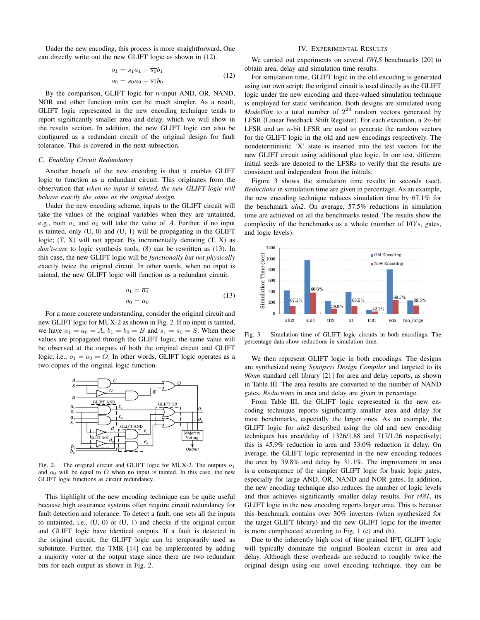Under the new encoding, this process is more straightforward. One can directly write out the new GLIFT logic as shown in (12).

$$
o_1 = s_1 a_1 + \overline{s_0} b_1 \n o_0 = s_0 a_0 + \overline{s_1} b_0
$$
\n(12)

By the comparison, GLIFT logic for *n*-input AND, OR, NAND, NOR and other function units can be much simpler. As a result, GLIFT logic represented in the new encoding technique tends to report significantly smaller area and delay, which we will show in the results section. In addition, the new GLIFT logic can also be configured as a redundant circuit of the original design for fault tolerance. This is covered in the next subsection.

#### *C. Enabling Circuit Redundancy*

Another benefit of the new encoding is that it enables GLIFT logic to function as a redundant circuit. This originates from the observation that *when no input is tainted, the new GLIFT logic will behave exactly the same as the original design.*

Under the new encoding scheme, inputs to the GLIFT circuit will take the values of the original variables when they are untainted, e.g., both  $a_1$  and  $a_0$  will take the value of A. Further, if no input is tainted, only  $(U, 0)$  and  $(U, 1)$  will be propagating in the GLIFT logic; (T, X) will not appear. By incrementally denoting (T, X) as *don't-care* to logic synthesis tools, (8) can be rewritten as (13). In this case, the new GLIFT logic will be *functionally but not physically* exactly twice the original circuit. In other words, when no input is tainted, the new GLIFT logic will function as a redundant circuit.

$$
o_1 = \overline{a_1} o_0 = \overline{a_0}
$$
 (13)

For a more concrete understanding, consider the original circuit and new GLIFT logic for MUX-2 as shown in Fig. 2. If no input is tainted, we have  $a_1 = a_0 = A$ ,  $b_1 = b_0 = B$  and  $s_1 = s_0 = S$ . When these values are propagated through the GLIFT logic, the same value will be observed at the outputs of both the original circuit and GLIFT logic, i.e.,  $o_1 = o_0 = O$ . In other words, GLIFT logic operates as a two copies of the original logic function.



Fig. 2. The original circuit and GLIFT logic for MUX-2. The outputs *o*<sup>1</sup> and  $o_0$  will be equal to  $O$  when no input is tainted. In this case, the new GLIFT logic functions as circuit redundancy.

This highlight of the new encoding technique can be quite useful because high assurance systems often require circuit redundancy for fault detection and tolerance. To detect a fault, one sets all the inputs to untainted, i.e., (U, 0) or (U, 1) and checks if the original circuit and GLIFT logic have identical outputs. If a fault is detected in the original circuit, the GLIFT logic can be temporarily used as substitute. Further, the TMR [14] can be implemented by adding a majority voter at the output stage since there are two redundant bits for each output as shown in Fig. 2.

#### IV. EXPERIMENTAL RESULTS

We carried out experiments on several *IWLS* benchmarks [20] to obtain area, delay and simulation time results.

For simulation time, GLIFT logic in the old encoding is generated using our own script; the original circuit is used directly as the GLIFT logic under the new encoding and three-valued simulation technique is employed for static verification. Both designs are simulated using *ModelSim* to a total number of  $2^{24}$  random vectors generated by LFSR (Linear Feedback Shift Register). For each execution, a 2*n*-bit LFSR and an *n*-bit LFSR are used to generate the random vectors for the GLIFT logic in the old and new encodings respectively. The nondeterministic 'X' state is inserted into the test vectors for the new GLIFT circuit using additional glue logic. In our test, different initial seeds are denoted to the LFSRs to verify that the results are consistent and independent from the initials.

Figure 3 shows the simulation time results in seconds (sec). Reductions i<sup>n a</sup> simulation time are given in percentage. As an example, the new encoding technique reduces simulation time by  $67.1\%$  for the benchmark alu2. On average, 57.5% reductions in simulation time are achieved on all the benchmarks tested. The results show the complexity of the benchmarks as a whole (number of I/O's, gates, and logic levels).



Fig. 3. Simulation time of GLIFT logic circuits in both encodings. The percentage data show reductions in simulation time.

We then represent GLIFT logic in both encodings. The designs are synthesized using *Synopsys Design Compiler* and targeted to its *90nm* standard cell library [21] for area and delay reports, as shown in Table III. The area results are converted to the number of NAND gates. *Reductions* in area and delay are given in percentage.

From Table III, the GLIFT logic represented in the new encoding technique reports significantly smaller area and delay for most benchmarks, especially the larger ones. As an example, the GLIFT logic for *alu2* described using the old and new encoding techniques has area/delay of 1326/1.88 and 717/1.26 respectively; this is 45.9% reduction in area and 33.0% reduction in delay. On average, the GLIFT logic represented in the new encoding reduces the area by 39.8% and delay by 31.1%. The improvement in area is a consequence of the simpler GLIFT logic for basic logic gates, especially for large AND, OR, NAND and NOR gates. In addition, the new encoding technique also reduces the number of logic levels and thus achieves significantly smaller delay results. For *t481*, its GLIFT logic in the new encoding reports larger area. This is because this benchmark contains over 30% inverters (when synthesized for the target GLIFT library) and the new GLIFT logic for the inverter is more complicated according to Fig. 1 (c) and (h).

Due to the inherently high cost of fine grained IFT, GLIFT logic will typically dominate the original Boolean circuit in area and delay. Although these overheads are reduced to roughly twice the original design using our novel encoding technique, they can be